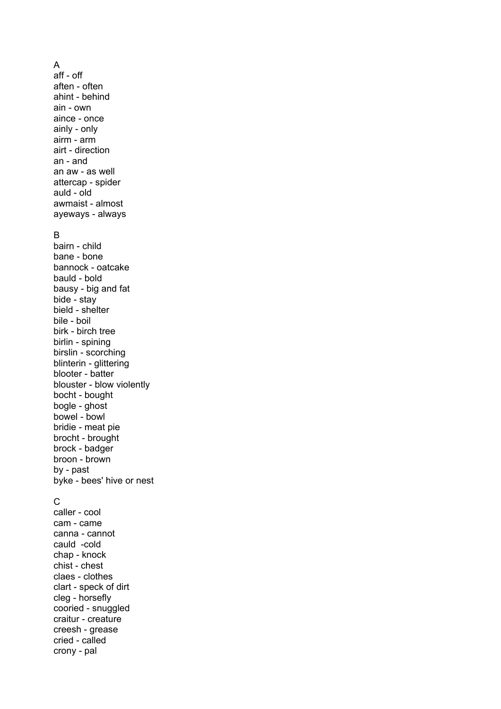A aff - off aften - often ahint - behind ain - own aince - once ainly - only airm - arm airt - direction an - and an aw - as well attercap - spider auld - old awmaist - almost ayeways - always B bairn - child bane - bone bannock - oatcake bauld - bold bausy - big and fat bide - stay bield - shelter bile - boil birk - birch tree birlin - spining birslin - scorching blinterin - glittering blooter - batter blouster - blow violently bocht - bought bogle - ghost bowel - bowl bridie - meat pie brocht - brought brock - badger broon - brown by - past byke - bees' hive or nest C caller - cool cam - came canna - cannot cauld -cold

chap - knock chist - chest claes - clothes clart - speck of dirt cleg - horsefly cooried - snuggled craitur - creature creesh - grease cried - called crony - pal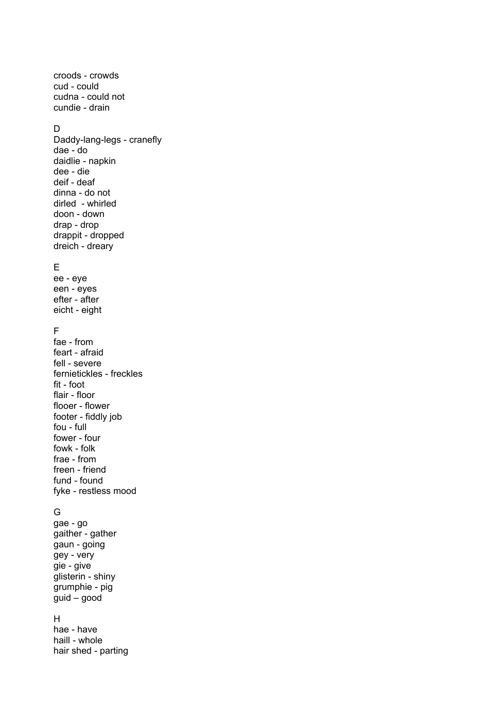croods - crowds cud - could cudna - could not cundie - drain

#### D

Daddy-lang-legs - cranefly dae - do daidlie - napkin dee - die deif - deaf dinna - do not dirled - whirled doon - down drap - drop drappit - dropped dreich - dreary

# E

ee - eye een - eyes efter - after eicht - eight

## F

fae - from feart - afraid fell - severe fernietickles - freckles fit - foot flair - floor flooer - flower footer - fiddly job fou - full fower - four fowk - folk frae - from freen - friend fund - found fyke - restless mood

### G

gae - go gaither - gather gaun - going gey - very gie - give glisterin - shiny grumphie - pig guid – good

### H

hae - have haill - whole hair shed - parting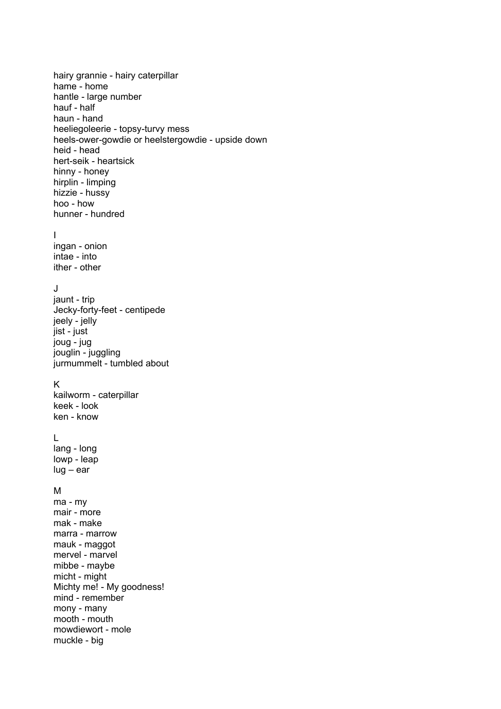hairy grannie - hairy caterpillar hame - home hantle - large number hauf - half haun - hand heeliegoleerie - topsy-turvy mess heels-ower-gowdie or heelstergowdie - upside down heid - head hert-seik - heartsick hinny - honey hirplin - limping hizzie - hussy hoo - how hunner - hundred I ingan - onion intae - into ither - other J jaunt - trip Jecky-forty-feet - centipede jeely - jelly jist - just joug - jug jouglin - juggling jurmummelt - tumbled about K kailworm - caterpillar keek - look ken - know L lang - long lowp - leap lug – ear M ma - my mair - more mak - make marra - marrow mauk - maggot mervel - marvel mibbe - maybe micht - might Michty me! - My goodness! mind - remember mony - many mooth - mouth mowdiewort - mole muckle - big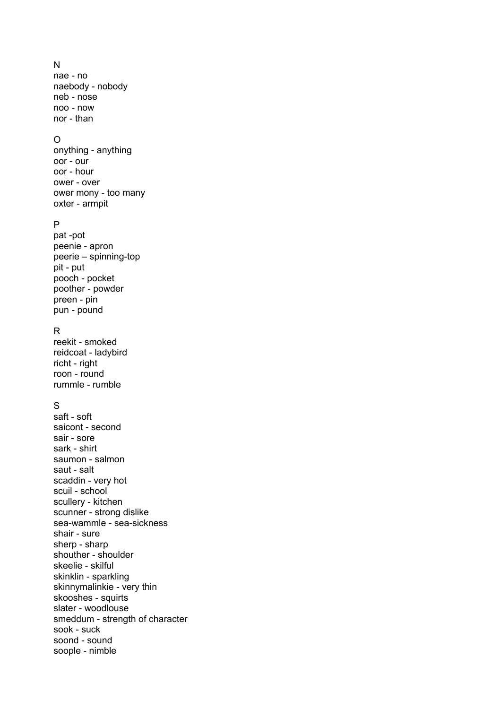# N

nae - no naebody - nobody neb - nose noo - now nor - than

## O

onything - anything oor - our oor - hour ower - over ower mony - too many oxter - armpit

## P

pat -pot peenie - apron peerie – spinning-top pit - put pooch - pocket poother - powder preen - pin pun - pound

### R

reekit - smoked reidcoat - ladybird richt - right roon - round rummle - rumble

## S

saft - soft saicont - second sair - sore sark - shirt saumon - salmon saut - salt scaddin - very hot scuil - school scullery - kitchen scunner - strong dislike sea-wammle - sea-sickness shair - sure sherp - sharp shouther - shoulder skeelie - skilful skinklin - sparkling skinnymalinkie - very thin skooshes - squirts slater - woodlouse smeddum - strength of character sook - suck soond - sound soople - nimble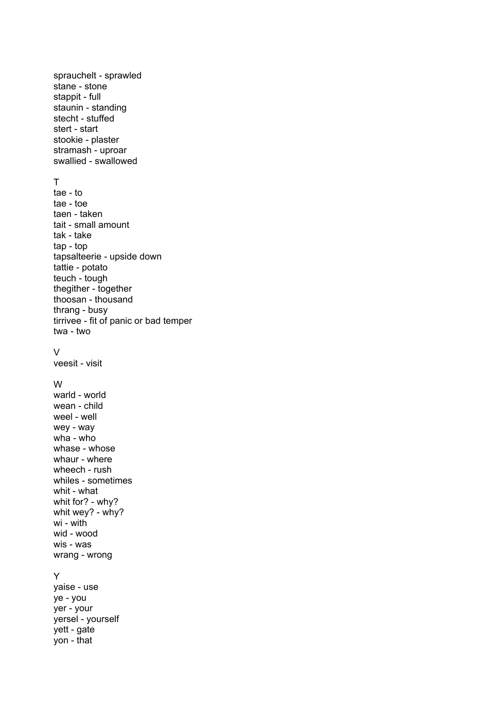sprauchelt - sprawled stane - stone stappit - full staunin - standing stecht - stuffed stert - start stookie - plaster stramash - uproar swallied - swallowed T tae - to tae - toe taen - taken tait - small amount tak - take tap - top tapsalteerie - upside down tattie - potato teuch - tough thegither - together thoosan - thousand thrang - busy tirrivee - fit of panic or bad temper twa - two V veesit - visit W warld - world wean - child weel - well wey - way wha - who whase - whose whaur - where wheech - rush whiles - sometimes whit - what whit for? - why? whit wey? - why? wi - with wid - wood wis - was wrang - wrong Y yaise - use ye - you yer - your yersel - yourself yett - gate yon - that